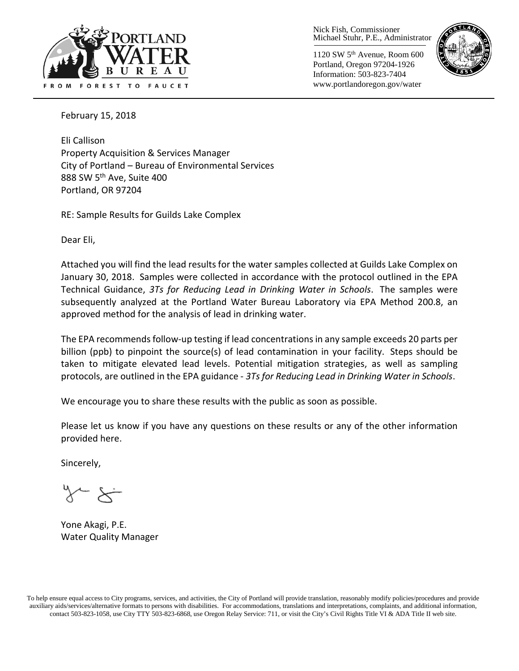

Nick Fish, Commissioner Michael Stuhr, P.E., Administrator

1120 SW 5th Avenue, Room 600 Portland, Oregon 97204-1926 Information: 503-823-7404 www.portlandoregon.gov/water



February 15, 2018

Eli Callison Property Acquisition & Services Manager City of Portland – Bureau of Environmental Services 888 SW 5<sup>th</sup> Ave, Suite 400 Portland, OR 97204

RE: Sample Results for Guilds Lake Complex

Dear Eli,

Attached you will find the lead results for the water samples collected at Guilds Lake Complex on January 30, 2018. Samples were collected in accordance with the protocol outlined in the EPA Technical Guidance, *3Ts for Reducing Lead in Drinking Water in Schools*. The samples were subsequently analyzed at the Portland Water Bureau Laboratory via EPA Method 200.8, an approved method for the analysis of lead in drinking water.

The EPA recommends follow-up testing if lead concentrations in any sample exceeds 20 parts per billion (ppb) to pinpoint the source(s) of lead contamination in your facility. Steps should be taken to mitigate elevated lead levels. Potential mitigation strategies, as well as sampling protocols, are outlined in the EPA guidance - *3Ts for Reducing Lead in Drinking Water in Schools*.

We encourage you to share these results with the public as soon as possible.

Please let us know if you have any questions on these results or any of the other information provided here.

Sincerely,

 $\overleftarrow{\phantom{a}}$ 

Yone Akagi, P.E. Water Quality Manager

To help ensure equal access to City programs, services, and activities, the City of Portland will provide translation, reasonably modify policies/procedures and provide auxiliary aids/services/alternative formats to persons with disabilities. For accommodations, translations and interpretations, complaints, and additional information, contact 503-823-1058, use City TTY 503-823-6868, use Oregon Relay Service: 711, or visi[t the City's Civil Rights Title VI & ADA Title II web site.](http://www.portlandoregon.gov/oehr/66458)